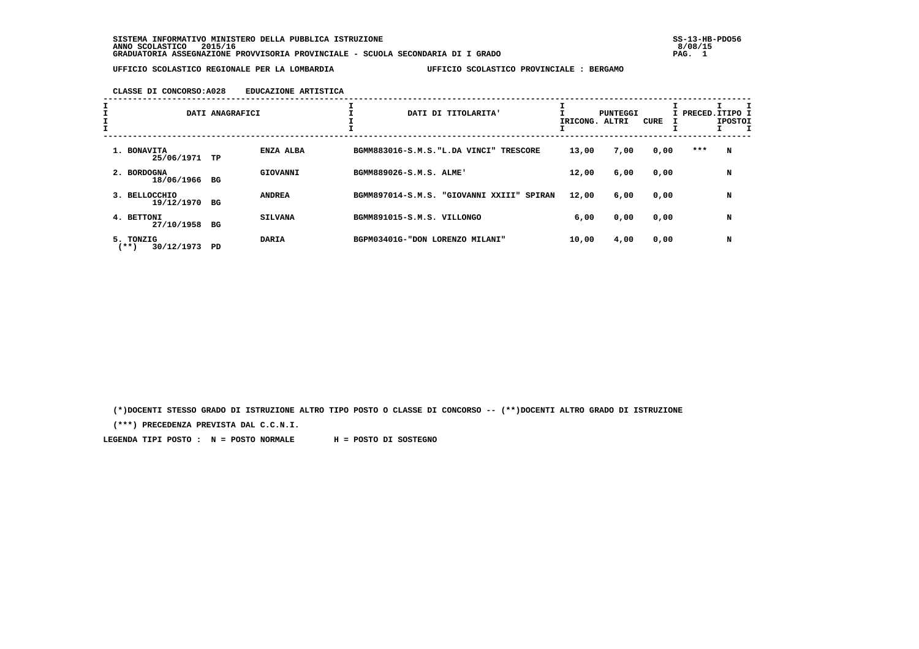**SISTEMA INFORMATIVO MINISTERO DELLA PUBBLICA ISTRUZIONE SS-13-HB-PDO56 ANNO SCOLASTICO 2015/16 8/08/15 GRADUATORIA ASSEGNAZIONE PROVVISORIA PROVINCIALE - SCUOLA SECONDARIA DI I GRADO PAG. 1**

 **UFFICIO SCOLASTICO REGIONALE PER LA LOMBARDIA UFFICIO SCOLASTICO PROVINCIALE : BERGAMO**

### **CLASSE DI CONCORSO:A028 EDUCAZIONE ARTISTICA**

|                                 | DATI ANAGRAFICI |                | DATI DI TITOLARITA'                       | IRICONG. ALTRI | PUNTEGGI | CURE |     | I PRECED.ITIPO 1<br><b>IPOSTOI</b> |
|---------------------------------|-----------------|----------------|-------------------------------------------|----------------|----------|------|-----|------------------------------------|
| 1. BONAVITA<br>25/06/1971       | TP              | ENZA ALBA      | BGMM883016-S.M.S. "L.DA VINCI" TRESCORE   | 13,00          | 7,00     | 0,00 | *** | N                                  |
| 2. BORDOGNA<br>18/06/1966       | BG              | GIOVANNI       | BGMM889026-S.M.S. ALME'                   | 12,00          | 6,00     | 0,00 |     | N                                  |
| 3. BELLOCCHIO<br>19/12/1970     | BG              | <b>ANDREA</b>  | BGMM897014-S.M.S. "GIOVANNI XXIII" SPIRAN | 12,00          | 6,00     | 0,00 |     | N                                  |
| 4. BETTONI<br>27/10/1958        | вG              | <b>SILVANA</b> | BGMM891015-S.M.S. VILLONGO                | 6,00           | 0,00     | 0,00 |     | N                                  |
| 5. TONZIG<br>30/12/1973<br>(**) | PD              | <b>DARIA</b>   | BGPM03401G-"DON LORENZO MILANI"           | 10,00          | 4,00     | 0,00 |     | N                                  |

 **(\*)DOCENTI STESSO GRADO DI ISTRUZIONE ALTRO TIPO POSTO O CLASSE DI CONCORSO -- (\*\*)DOCENTI ALTRO GRADO DI ISTRUZIONE**

 **(\*\*\*) PRECEDENZA PREVISTA DAL C.C.N.I.**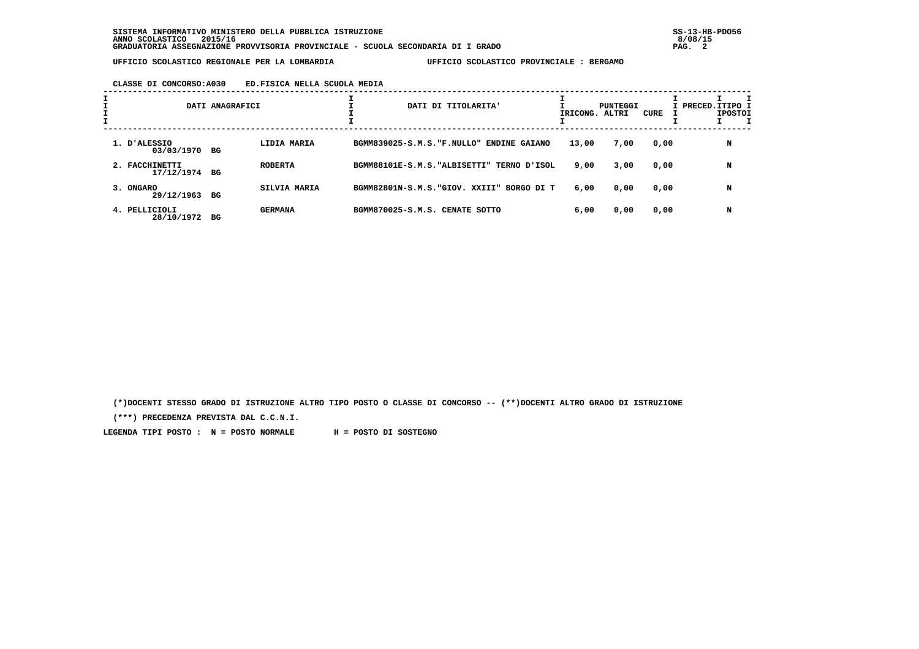## **CLASSE DI CONCORSO:A030 ED.FISICA NELLA SCUOLA MEDIA**

|                              | DATI ANAGRAFICI |                |                                | DATI DI TITOLARITA'                        | IRICONG. ALTRI | PUNTEGGI | CURE | I PRECED.ITIPO I<br><b>IPOSTOI</b> |
|------------------------------|-----------------|----------------|--------------------------------|--------------------------------------------|----------------|----------|------|------------------------------------|
| 1. D'ALESSIO<br>03/03/1970   | BG              | LIDIA MARIA    |                                | BGMM839025-S.M.S. "F.NULLO" ENDINE GAIANO  | 13,00          | 7,00     | 0,00 | N                                  |
| 2. FACCHINETTI<br>17/12/1974 | BG              | <b>ROBERTA</b> |                                | BGMM88101E-S.M.S. "ALBISETTI" TERNO D'ISOL | 9,00           | 3,00     | 0,00 | N                                  |
| 3. ONGARO<br>29/12/1963      | BG              | SILVIA MARIA   |                                | BGMM82801N-S.M.S. "GIOV, XXIII" BORGO DI T | 6,00           | 0,00     | 0,00 | N                                  |
| 4. PELLICIOLI<br>28/10/1972  | BG              | <b>GERMANA</b> | BGMM870025-S.M.S. CENATE SOTTO |                                            | 6,00           | 0,00     | 0,00 | N                                  |

 **(\*)DOCENTI STESSO GRADO DI ISTRUZIONE ALTRO TIPO POSTO O CLASSE DI CONCORSO -- (\*\*)DOCENTI ALTRO GRADO DI ISTRUZIONE**

 **(\*\*\*) PRECEDENZA PREVISTA DAL C.C.N.I.**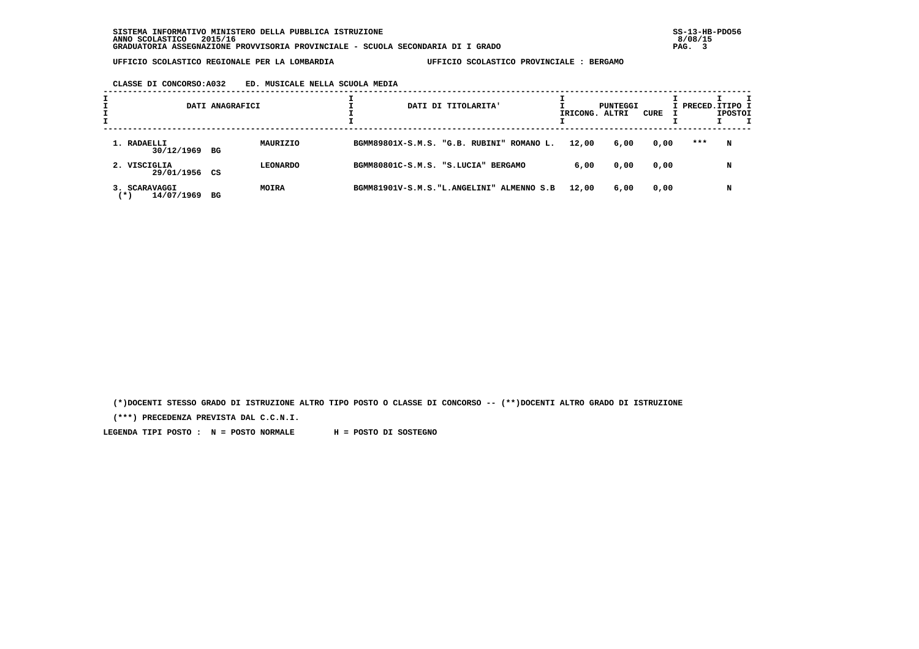# **CLASSE DI CONCORSO:A032 ED. MUSICALE NELLA SCUOLA MEDIA**

|                                      | DATI ANAGRAFICI |                 |  | DATI DI TITOLARITA'                        | IRICONG. ALTRI | PUNTEGGI | CURE | I PRECED.ITIPO I | <b>IPOSTOI</b> |  |
|--------------------------------------|-----------------|-----------------|--|--------------------------------------------|----------------|----------|------|------------------|----------------|--|
| 1. RADAELLI<br>30/12/1969 BG         |                 | MAURIZIO        |  | BGMM89801X-S.M.S. "G.B. RUBINI" ROMANO L.  | 12,00          | 6,00     | 0,00 | ***              | N              |  |
| 2. VISCIGLIA<br>29/01/1956 CS        |                 | <b>LEONARDO</b> |  | BGMM80801C-S.M.S. "S.LUCIA" BERGAMO        | 6,00           | 0,00     | 0,00 |                  | N              |  |
| 3. SCARAVAGGI<br>14/07/1969<br>( * ) | вG              | <b>MOIRA</b>    |  | BGMM81901V-S.M.S. "L.ANGELINI" ALMENNO S.B | 12,00          | 6,00     | 0,00 |                  | N              |  |

 **(\*)DOCENTI STESSO GRADO DI ISTRUZIONE ALTRO TIPO POSTO O CLASSE DI CONCORSO -- (\*\*)DOCENTI ALTRO GRADO DI ISTRUZIONE**

 **(\*\*\*) PRECEDENZA PREVISTA DAL C.C.N.I.**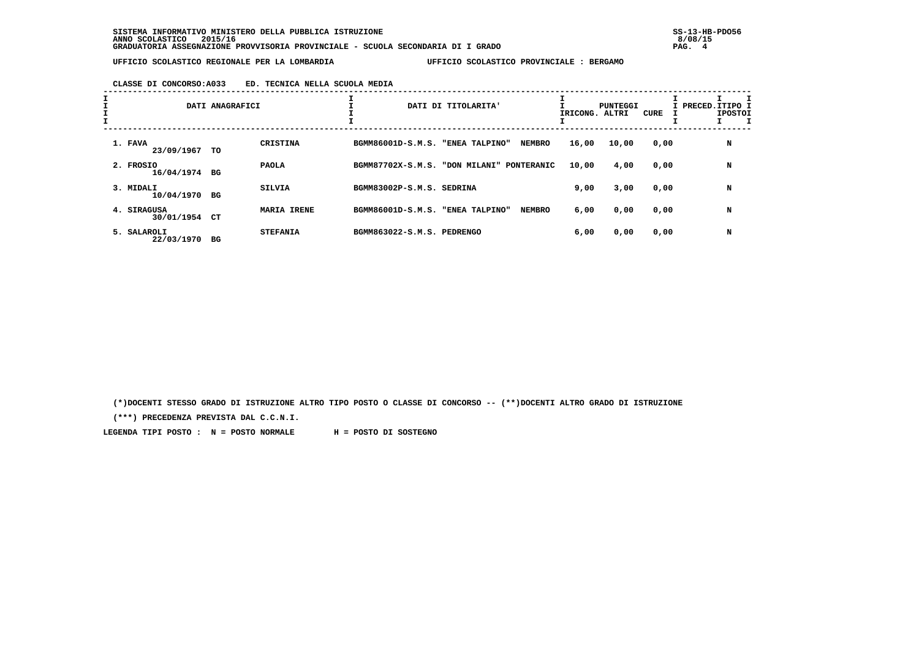# **CLASSE DI CONCORSO:A033 ED. TECNICA NELLA SCUOLA MEDIA**

| $\mathbf{I}$ |                           | DATI ANAGRAFICI |                    |                            | DATI DI TITOLARITA'             | IRICONG. | PUNTEGGI<br>ALTRI | CURE | I PRECED.ITIPO 1<br><b>IPOSTOI</b> |
|--------------|---------------------------|-----------------|--------------------|----------------------------|---------------------------------|----------|-------------------|------|------------------------------------|
|              | 1. FAVA<br>23/09/1967     | TO              | CRISTINA           | BGMM86001D-S.M.S.          | "ENEA TALPINO"<br><b>NEMBRO</b> | 16,00    | 10,00             | 0,00 | N                                  |
|              | 2. FROSIO<br>16/04/1974   | BG              | <b>PAOLA</b>       | BGMM87702X-S.M.S.          | "DON MILANI"<br>PONTERANIC      | 10,00    | 4,00              | 0,00 | N                                  |
|              | 3. MIDALI<br>10/04/1970   | BG              | <b>SILVIA</b>      | BGMM83002P-S.M.S. SEDRINA  |                                 | 9,00     | 3,00              | 0,00 | N                                  |
|              | 4. SIRAGUSA<br>30/01/1954 | CT              | <b>MARIA IRENE</b> | BGMM86001D-S.M.S.          | "ENEA TALPINO"<br><b>NEMBRO</b> | 6,00     | 0,00              | 0,00 | N                                  |
|              | 5. SALAROLI<br>22/03/1970 | BG              | <b>STEFANIA</b>    | BGMM863022-S.M.S. PEDRENGO |                                 | 6,00     | 0,00              | 0,00 | N                                  |

 **(\*)DOCENTI STESSO GRADO DI ISTRUZIONE ALTRO TIPO POSTO O CLASSE DI CONCORSO -- (\*\*)DOCENTI ALTRO GRADO DI ISTRUZIONE**

 **(\*\*\*) PRECEDENZA PREVISTA DAL C.C.N.I.**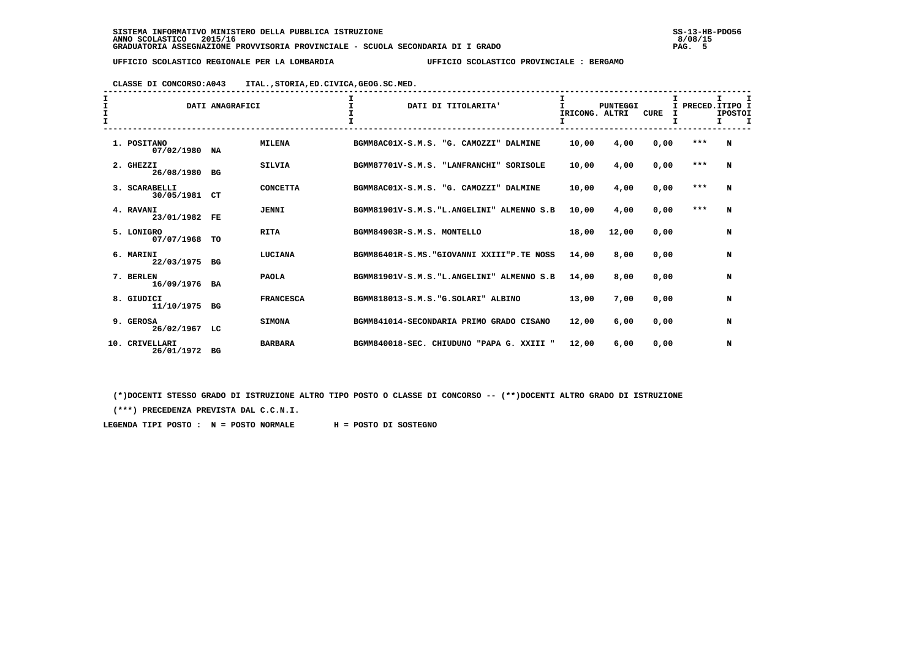# **CLASSE DI CONCORSO:A043 ITAL.,STORIA,ED.CIVICA,GEOG.SC.MED.**

| I<br>I<br>I<br>$\mathbf{I}$ |                                 |           | DATI ANAGRAFICI  | $\mathbf{T}$<br>DATI DI TITOLARITA'             | T.<br>IRICONG. ALTRI | <b>PUNTEGGI</b> | CURE<br>I | I PRECED. ITIPO I | т<br><b>IPOSTOI</b><br>I. |  |
|-----------------------------|---------------------------------|-----------|------------------|-------------------------------------------------|----------------------|-----------------|-----------|-------------------|---------------------------|--|
|                             | 1. POSITANO<br>07/02/1980       | NA        | <b>MILENA</b>    | BGMM8AC01X-S.M.S.<br>"G. CAMOZZI" DALMINE       | 10,00                | 4,00            | 0,00      | $***$             | N                         |  |
|                             | 2. GHEZZI<br>26/08/1980         | BG        | <b>SILVIA</b>    | BGMM87701V-S.M.S. "LANFRANCHI"<br>SORISOLE      | 10,00                | 4,00            | 0,00      | ***               | N                         |  |
|                             | 3. SCARABELLI<br>30/05/1981     | CT        | <b>CONCETTA</b>  | BGMM8AC01X-S.M.S. "G. CAMOZZI" DALMINE          | 10,00                | 4,00            | 0,00      | $***$             | N                         |  |
|                             | 4. RAVANI<br>23/01/1982         | FE        | <b>JENNI</b>     | BGMM81901V-S.M.S. "L.ANGELINI" ALMENNO S.B      | 10,00                | 4,00            | 0,00      | $***$             | N                         |  |
|                             | 5. LONIGRO<br>07/07/1968        | TO        | <b>RITA</b>      | BGMM84903R-S.M.S. MONTELLO                      | 18,00                | 12,00           | 0,00      |                   | N                         |  |
|                             | 6. MARINI<br>22/03/1975         | BG        | LUCIANA          | BGMM86401R-S.MS. "GIOVANNI XXIII"P.TE NOSS      | 14,00                | 8,00            | 0,00      |                   | N                         |  |
|                             | 7. BERLEN<br>16/09/1976         | <b>BA</b> | <b>PAOLA</b>     | BGMM81901V-S.M.S. "L.ANGELINI" ALMENNO S.B      | 14,00                | 8,00            | 0,00      |                   | N                         |  |
|                             | 8. GIUDICI<br>11/10/1975        | BG        | <b>FRANCESCA</b> | BGMM818013-S.M.S. "G.SOLARI" ALBINO             | 13,00                | 7,00            | 0,00      |                   | N                         |  |
|                             | 9. GEROSA<br>26/02/1967         | LC        | <b>SIMONA</b>    | BGMM841014-SECONDARIA PRIMO GRADO CISANO        | 12,00                | 6,00            | 0,00      |                   | N                         |  |
|                             | CRIVELLARI<br>10.<br>26/01/1972 | BG        | <b>BARBARA</b>   | BGMM840018-SEC. CHIUDUNO<br>"PAPA G.<br>XXIII " | 12,00                | 6,00            | 0.00      |                   | N                         |  |

 **(\*)DOCENTI STESSO GRADO DI ISTRUZIONE ALTRO TIPO POSTO O CLASSE DI CONCORSO -- (\*\*)DOCENTI ALTRO GRADO DI ISTRUZIONE**

 **(\*\*\*) PRECEDENZA PREVISTA DAL C.C.N.I.**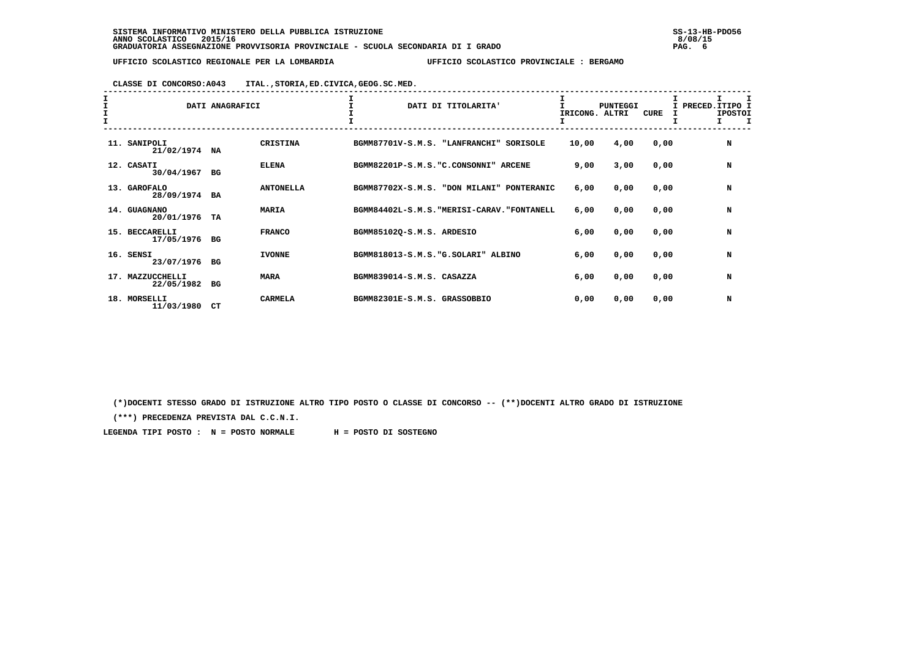# **CLASSE DI CONCORSO:A043 ITAL.,STORIA,ED.CIVICA,GEOG.SC.MED.**

| I<br>$\frac{1}{1}$ |                                | DATI ANAGRAFICI |                  | DATI DI TITOLARITA'                         |          | <b>PUNTEGGI</b><br>IRICONG. ALTRI | <b>CURE</b> | I PRECED. ITIPO I<br><b>IPOSTOI</b><br>I |
|--------------------|--------------------------------|-----------------|------------------|---------------------------------------------|----------|-----------------------------------|-------------|------------------------------------------|
|                    | 11. SANIPOLI<br>21/02/1974 NA  |                 | <b>CRISTINA</b>  | BGMM87701V-S.M.S. "LANFRANCHI"              | SORISOLE | 10,00<br>4,00                     | 0,00        | N                                        |
|                    | 12. CASATI<br>30/04/1967       | BG              | <b>ELENA</b>     | BGMM82201P-S.M.S. "C.CONSONNI" ARCENE       |          | 3,00<br>9,00                      | 0,00        | N                                        |
|                    | 13. GAROFALO<br>28/09/1974 BA  |                 | <b>ANTONELLA</b> | BGMM87702X-S.M.S. "DON MILANI" PONTERANIC   |          | 6,00<br>0,00                      | 0,00        | N                                        |
|                    | 14. GUAGNANO<br>20/01/1976     | TA              | <b>MARIA</b>     | BGMM84402L-S.M.S. "MERISI-CARAV. "FONTANELL |          | 0,00<br>6,00                      | 0,00        | N                                        |
|                    | 15. BECCARELLI<br>17/05/1976   | BG              | <b>FRANCO</b>    | BGMM85102Q-S.M.S. ARDESIO                   |          | 6,00<br>0,00                      | 0,00        | N                                        |
| 16.                | SENSI<br>23/07/1976            | BG              | <b>IVONNE</b>    | BGMM818013-S.M.S. "G. SOLARI" ALBINO        |          | 6,00<br>0,00                      | 0,00        | N                                        |
|                    | 17. MAZZUCCHELLI<br>22/05/1982 | BG              | <b>MARA</b>      | BGMM839014-S.M.S. CASAZZA                   |          | 0,00<br>6,00                      | 0,00        | N                                        |
|                    | 18. MORSELLI<br>11/03/1980     | CT              | <b>CARMELA</b>   | BGMM82301E-S.M.S. GRASSOBBIO                |          | 0,00<br>0,00                      | 0,00        | N                                        |

 **(\*)DOCENTI STESSO GRADO DI ISTRUZIONE ALTRO TIPO POSTO O CLASSE DI CONCORSO -- (\*\*)DOCENTI ALTRO GRADO DI ISTRUZIONE**

 **(\*\*\*) PRECEDENZA PREVISTA DAL C.C.N.I.**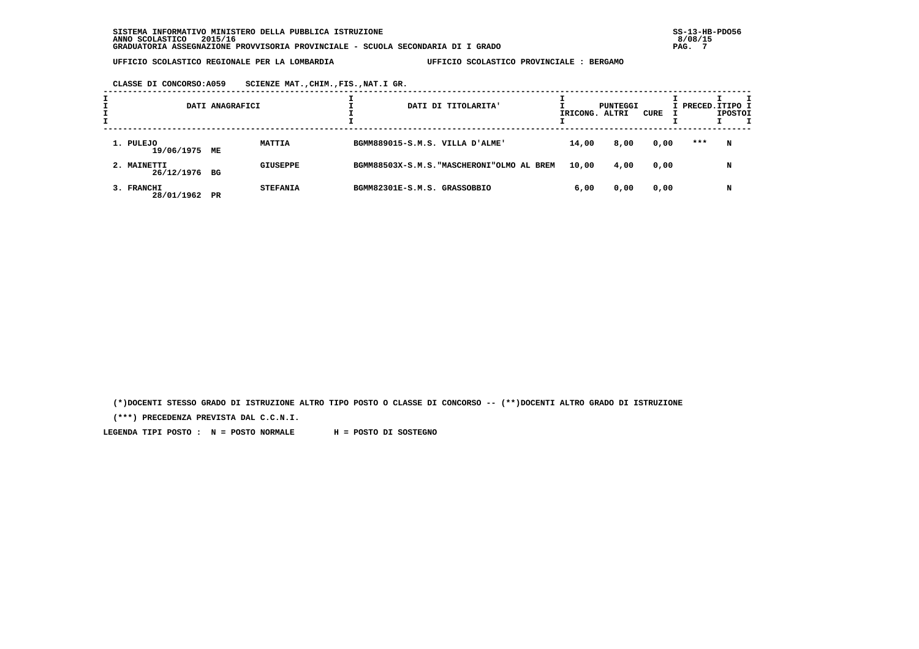**CLASSE DI CONCORSO:A059 SCIENZE MAT.,CHIM.,FIS.,NAT.I GR.**

|                              | DATI ANAGRAFICI |                 |                              | DATI DI TITOLARITA'                        | IRICONG. ALTRI | PUNTEGGI | CURE | I PRECED.ITIPO I | <b>IPOSTOI</b> | т |
|------------------------------|-----------------|-----------------|------------------------------|--------------------------------------------|----------------|----------|------|------------------|----------------|---|
| 1. PULEJO<br>19/06/1975 ME   |                 | <b>MATTIA</b>   |                              | BGMM889015-S.M.S. VILLA D'ALME'            | 14,00          | 8,00     | 0,00 | ***              | N              |   |
| 2. MAINETTI<br>26/12/1976 BG |                 | <b>GIUSEPPE</b> |                              | BGMM88503X-S.M.S. "MASCHERONI"OLMO AL BREM | 10,00          | 4,00     | 0,00 |                  | N              |   |
| 3. FRANCHI<br>28/01/1962     | $_{\rm PR}$     | <b>STEFANIA</b> | BGMM82301E-S.M.S. GRASSOBBIO |                                            | 6,00           | 0,00     | 0,00 |                  | N              |   |

 **(\*)DOCENTI STESSO GRADO DI ISTRUZIONE ALTRO TIPO POSTO O CLASSE DI CONCORSO -- (\*\*)DOCENTI ALTRO GRADO DI ISTRUZIONE**

 **(\*\*\*) PRECEDENZA PREVISTA DAL C.C.N.I.**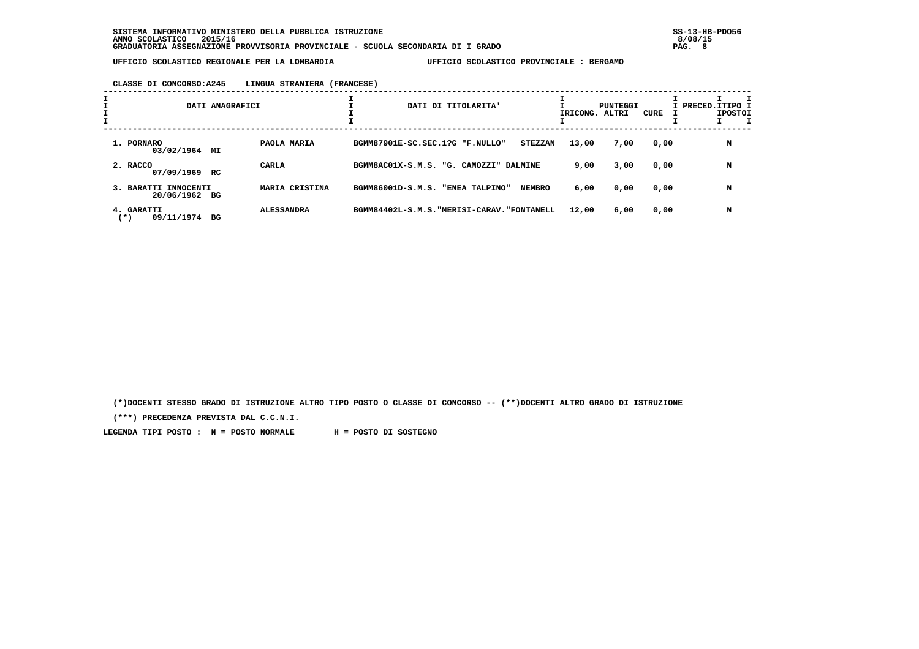### **CLASSE DI CONCORSO:A245 LINGUA STRANIERA (FRANCESE)**

| I |                                       | DATI ANAGRAFICI         | DATI DI TITOLARITA'                               | IRICONG. ALTRI | PUNTEGGI | CURE | I PRECED.ITIPO I<br><b>IPOSTOI</b> |
|---|---------------------------------------|-------------------------|---------------------------------------------------|----------------|----------|------|------------------------------------|
|   | 1. PORNARO<br>03/02/1964 MI           | PAOLA MARIA             | BGMM87901E-SC.SEC.1?G "F.NULLO"<br><b>STEZZAN</b> | 13,00          | 7,00     | 0,00 | N                                  |
|   | 2. RACCO<br>07/09/1969                | <b>CARLA</b><br>RC.     | BGMM8AC01X-S.M.S. "G. CAMOZZI" DALMINE            | 9,00           | 3,00     | 0,00 | N                                  |
|   | 3. BARATTI INNOCENTI<br>20/06/1962 BG | <b>MARIA CRISTINA</b>   | <b>NEMBRO</b><br>BGMM86001D-S.M.S. "ENEA TALPINO" | 6,00           | 0,00     | 0,00 | N                                  |
|   | 4. GARATTI<br>09/11/1974<br>(*)       | <b>ALESSANDRA</b><br>вG | BGMM84402L-S.M.S. "MERISI-CARAV. "FONTANELL       | 12,00          | 6,00     | 0,00 | N                                  |

 **(\*)DOCENTI STESSO GRADO DI ISTRUZIONE ALTRO TIPO POSTO O CLASSE DI CONCORSO -- (\*\*)DOCENTI ALTRO GRADO DI ISTRUZIONE**

 **(\*\*\*) PRECEDENZA PREVISTA DAL C.C.N.I.**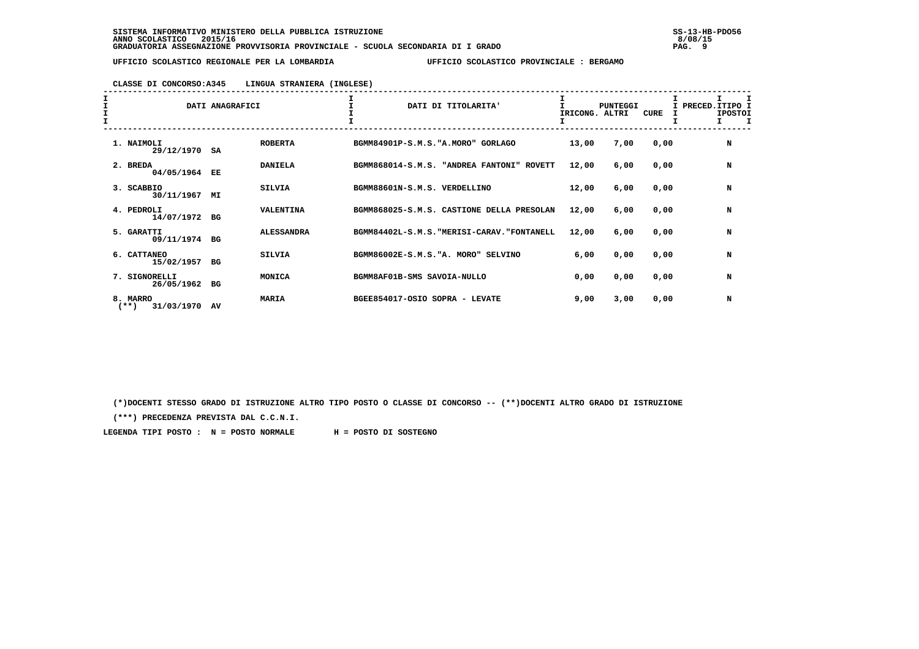### **CLASSE DI CONCORSO:A345 LINGUA STRANIERA (INGLESE)**

| I<br>I<br>I |                                | DATI ANAGRAFICI |                   | DATI DI TITOLARITA'                         | IRICONG. ALTRI | <b>PUNTEGGI</b> | <b>CURE</b> | PRECED.ITIPO I<br><b>IPOSTOI</b><br>л |
|-------------|--------------------------------|-----------------|-------------------|---------------------------------------------|----------------|-----------------|-------------|---------------------------------------|
|             | 1. NAIMOLI<br>29/12/1970       | SA              | <b>ROBERTA</b>    | BGMM84901P-S.M.S. "A.MORO" GORLAGO          | 13,00          | 7,00            | 0,00        | N                                     |
|             | 2. BREDA<br>04/05/1964         | EE              | <b>DANIELA</b>    | BGMM868014-S.M.S. "ANDREA FANTONI" ROVETT   | 12,00          | 6,00            | 0,00        | N                                     |
|             | 3. SCABBIO<br>30/11/1967       | МI              | <b>SILVIA</b>     | BGMM88601N-S.M.S. VERDELLINO                | 12,00          | 6,00            | 0,00        | N                                     |
|             | 4. PEDROLI<br>14/07/1972       | BG              | <b>VALENTINA</b>  | BGMM868025-S.M.S. CASTIONE DELLA PRESOLAN   | 12,00          | 6,00            | 0,00        | N                                     |
|             | 5. GARATTI<br>09/11/1974       | BG              | <b>ALESSANDRA</b> | BGMM84402L-S.M.S. "MERISI-CARAV. "FONTANELL | 12,00          | 6,00            | 0,00        | N                                     |
|             | 6. CATTANEO<br>15/02/1957      | <b>BG</b>       | <b>SILVIA</b>     | BGMM86002E-S.M.S. "A. MORO" SELVINO         | 6,00           | 0,00            | 0,00        | N                                     |
|             | 7. SIGNORELLI<br>26/05/1962    | BG              | MONICA            | BGMM8AF01B-SMS SAVOIA-NULLO                 | 0,00           | 0,00            | 0,00        | N                                     |
|             | 8. MARRO<br>$**$<br>31/03/1970 | AV              | <b>MARIA</b>      | BGEE854017-OSIO SOPRA - LEVATE              | 9,00           | 3,00            | 0,00        | N                                     |

 **(\*)DOCENTI STESSO GRADO DI ISTRUZIONE ALTRO TIPO POSTO O CLASSE DI CONCORSO -- (\*\*)DOCENTI ALTRO GRADO DI ISTRUZIONE**

 **(\*\*\*) PRECEDENZA PREVISTA DAL C.C.N.I.**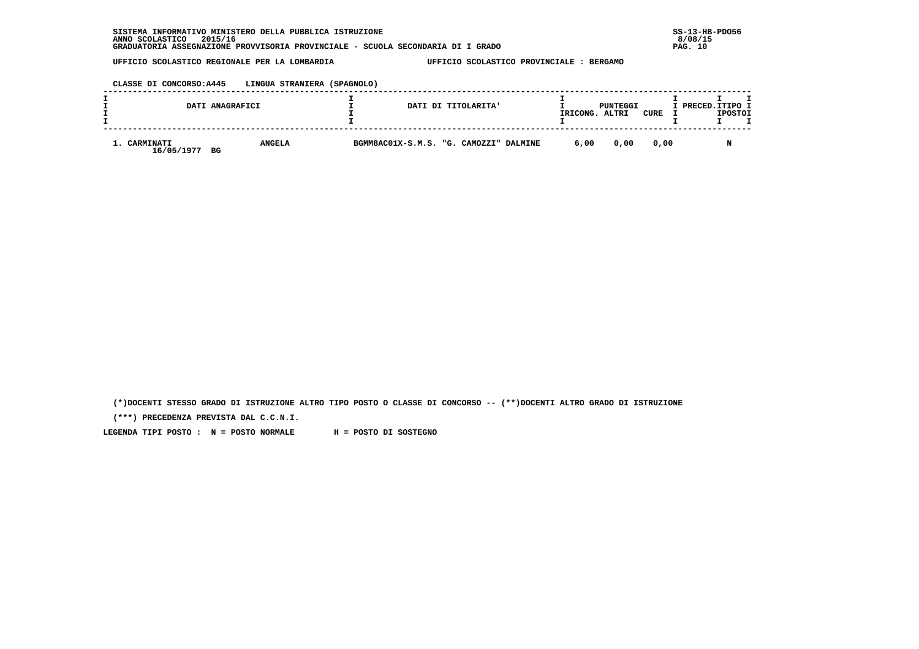## **CLASSE DI CONCORSO:A445 LINGUA STRANIERA (SPAGNOLO)**

|                                      | DATI ANAGRAFICI | DATI DI TITOLARITA'                    | IRICONG. | PUNTEGGI<br>ALTRI | <b>CURE</b> | I PRECED.ITIPO I | <b>IPOSTOI</b> |  |
|--------------------------------------|-----------------|----------------------------------------|----------|-------------------|-------------|------------------|----------------|--|
| <b>CARMINATI</b><br>16/05/1977<br>BG | <b>ANGELA</b>   | BGMM8AC01X-S.M.S. "G. CAMOZZI" DALMINE | 6,00     | 0,00              | 0.00        |                  |                |  |

 **(\*)DOCENTI STESSO GRADO DI ISTRUZIONE ALTRO TIPO POSTO O CLASSE DI CONCORSO -- (\*\*)DOCENTI ALTRO GRADO DI ISTRUZIONE**

 **(\*\*\*) PRECEDENZA PREVISTA DAL C.C.N.I.**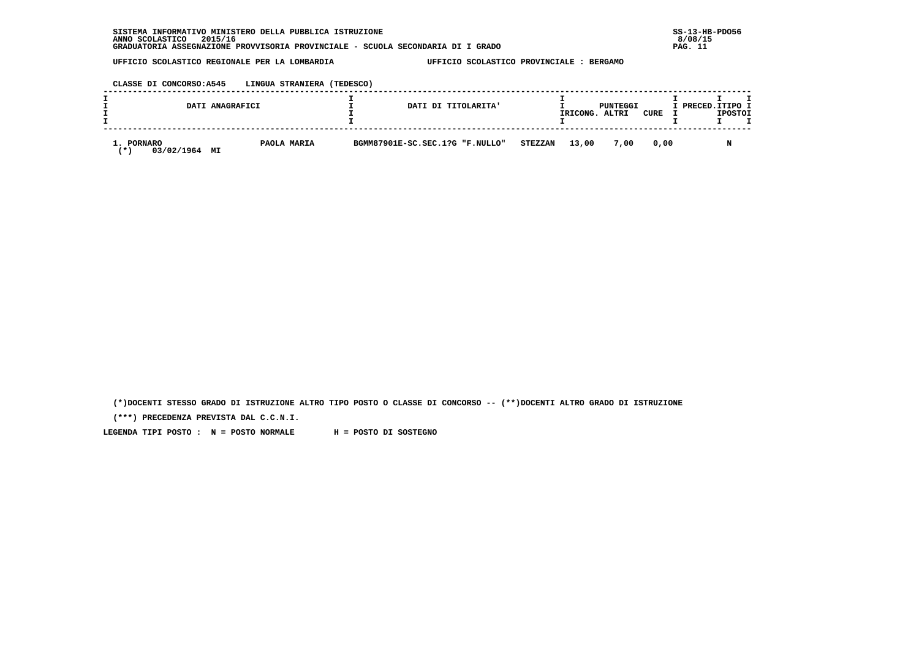## **CLASSE DI CONCORSO:A545 LINGUA STRANIERA (TEDESCO)**

|                                       | DATI ANAGRAFICI | DATI DI TITOLARITA'             |                | IRICONG. | PUNTEGGI<br>ALTRI | CURE | I PRECED.ITIPO I | <b>IPOSTOI</b> |  |
|---------------------------------------|-----------------|---------------------------------|----------------|----------|-------------------|------|------------------|----------------|--|
| 1. PORNARO<br>03/02/1964<br>МI<br>. ж | PAOLA MARIA     | BGMM87901E-SC.SEC.1?G "F.NULLO" | <b>STEZZAN</b> | 13,00    | 7,00              | 0.00 |                  |                |  |

 **(\*)DOCENTI STESSO GRADO DI ISTRUZIONE ALTRO TIPO POSTO O CLASSE DI CONCORSO -- (\*\*)DOCENTI ALTRO GRADO DI ISTRUZIONE**

 **(\*\*\*) PRECEDENZA PREVISTA DAL C.C.N.I.**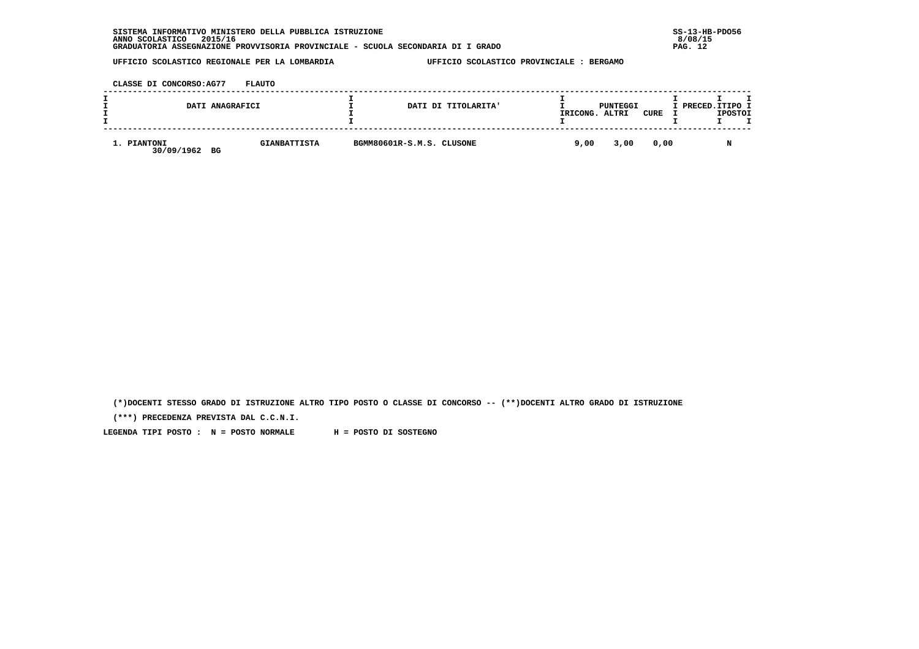| INFORMATIVO MINISTERO DELLA PUBBLICA ISTRUZIONE<br><b>SISTEMA</b>               | $SS-13-HE$ |
|---------------------------------------------------------------------------------|------------|
| 2015/16<br>ANNO SCOLASTICO                                                      | 8/08/15    |
| GRADUATORIA ASSEGNAZIONE PROVVISORIA PROVINCIALE - SCUOLA SECONDARIA DI I GRADO | PAG. 12    |

 **CLASSE DI CONCORSO:AG77 FLAUTO**

| DATI ANAGRAFICI                 |                     |                           | DATI DI TITOLARITA' | IRICONG. | PUNTEGGI<br>ALTRI | CURE | I PRECED.ITIPO I | <b>IPOSTOI</b> |  |
|---------------------------------|---------------------|---------------------------|---------------------|----------|-------------------|------|------------------|----------------|--|
| 1. PIANTONI<br>30/09/1962<br>BG | <b>GIANBATTISTA</b> | BGMM80601R-S.M.S. CLUSONE |                     | 9,00     | 3,00              | 0,00 |                  |                |  |

 **(\*)DOCENTI STESSO GRADO DI ISTRUZIONE ALTRO TIPO POSTO O CLASSE DI CONCORSO -- (\*\*)DOCENTI ALTRO GRADO DI ISTRUZIONE**

 **(\*\*\*) PRECEDENZA PREVISTA DAL C.C.N.I.**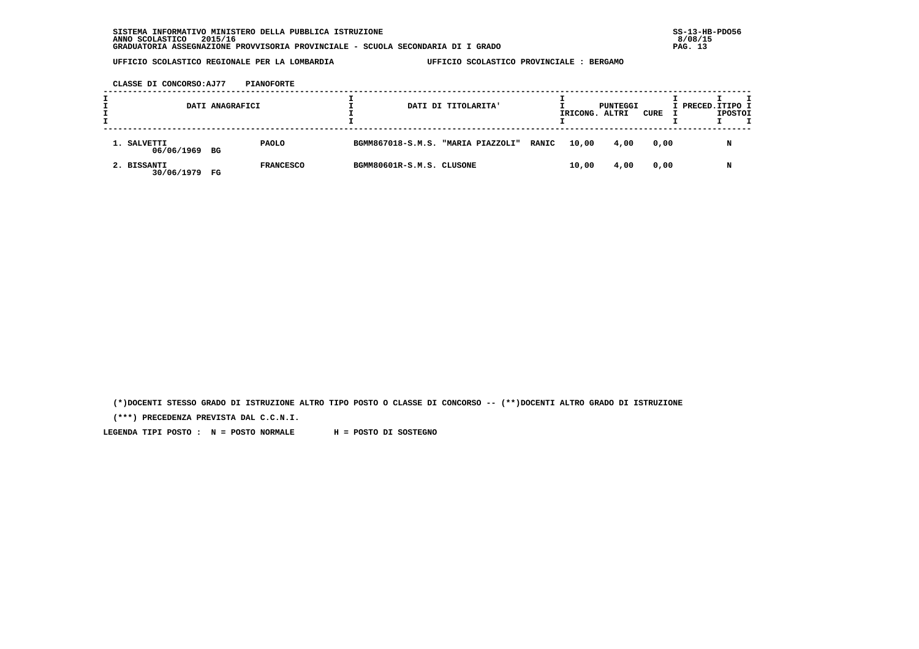**CLASSE DI CONCORSO:AJ77 PIANOFORTE**

| DATI ANAGRAFICI              |    |                  | DATI DI TITOLARITA'       |  |                                          | IRICONG. ALTRI | PUNTEGGI | CURE | I PRECED.ITIPO I | <b>IPOSTOI</b> |   |  |
|------------------------------|----|------------------|---------------------------|--|------------------------------------------|----------------|----------|------|------------------|----------------|---|--|
| 1. SALVETTI<br>06/06/1969 BG |    | <b>PAOLO</b>     |                           |  | BGMM867018-S.M.S. "MARIA PIAZZOLI" RANIC |                | 10,00    | 4,00 | 0,00             |                | N |  |
| 2. BISSANTI<br>30/06/1979    | FG | <b>FRANCESCO</b> | BGMM80601R-S.M.S. CLUSONE |  |                                          |                | 10,00    | 4,00 | 0,00             |                | N |  |

 **(\*)DOCENTI STESSO GRADO DI ISTRUZIONE ALTRO TIPO POSTO O CLASSE DI CONCORSO -- (\*\*)DOCENTI ALTRO GRADO DI ISTRUZIONE**

 **(\*\*\*) PRECEDENZA PREVISTA DAL C.C.N.I.**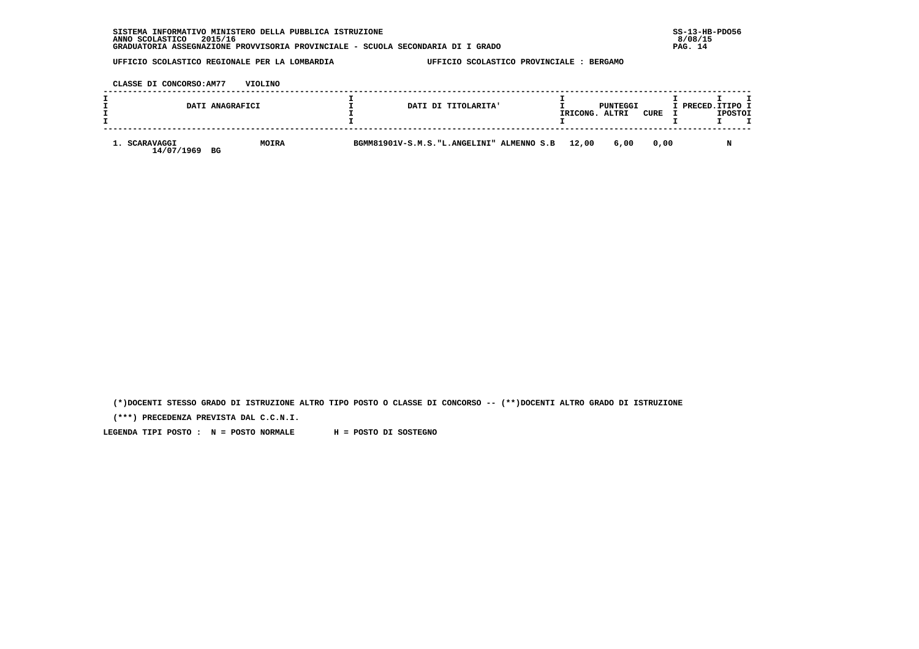| INFORMATIVO MINISTERO DELLA PUBBLICA ISTRUZIONE<br><b>SISTEMA</b>               | $SS-13-HE$ |
|---------------------------------------------------------------------------------|------------|
| 2015/16<br>ANNO SCOLASTICO                                                      | 8/08/15    |
| GRADUATORIA ASSEGNAZIONE PROVVISORIA PROVINCIALE - SCUOLA SECONDARIA DI I GRADO | 14<br>PAG. |

 **CLASSE DI CONCORSO:AM77 VIOLINO**

|                                   | DATI ANAGRAFICI | DATI DI TITOLARITA'                        | IRICONG. | PUNTEGGI<br>ALTRI | CURE | I PRECED.ITIPO I<br><b>IPOSTOI</b> |  |
|-----------------------------------|-----------------|--------------------------------------------|----------|-------------------|------|------------------------------------|--|
| 1. SCARAVAGGI<br>14/07/1969<br>BG | <b>MOIRA</b>    | BGMM81901V-S.M.S. "L.ANGELINI" ALMENNO S.B | 12,00    | 6,00              | 0.00 |                                    |  |

 **(\*)DOCENTI STESSO GRADO DI ISTRUZIONE ALTRO TIPO POSTO O CLASSE DI CONCORSO -- (\*\*)DOCENTI ALTRO GRADO DI ISTRUZIONE**

 **(\*\*\*) PRECEDENZA PREVISTA DAL C.C.N.I.**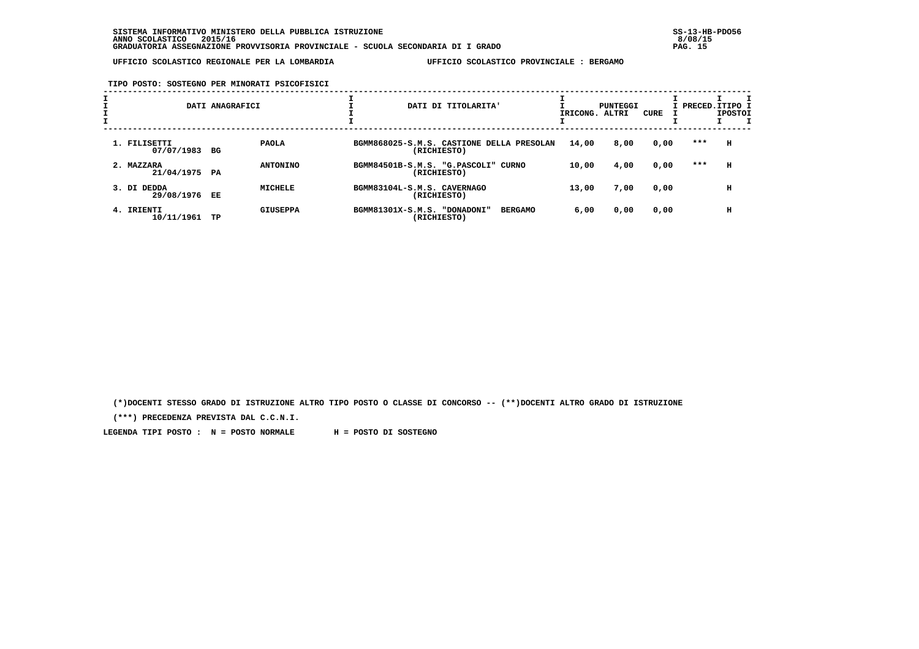**TIPO POSTO: SOSTEGNO PER MINORATI PSICOFISICI**

|                             | DATI ANAGRAFICI       | DATI DI TITOLARITA'                                           | IRICONG. ALTRI | PUNTEGGI | CURE |     | I PRECED.ITIPO I<br><b>IPOSTOI</b> |
|-----------------------------|-----------------------|---------------------------------------------------------------|----------------|----------|------|-----|------------------------------------|
| 1. FILISETTI<br>07/07/1983  | <b>PAOLA</b><br>BG    | BGMM868025-S.M.S. CASTIONE DELLA PRESOLAN<br>(RICHIESTO)      | 14,00          | 8,00     | 0,00 | *** | н                                  |
| 2. MAZZARA<br>21/04/1975 PA | <b>ANTONINO</b>       | BGMM84501B-S.M.S. "G.PASCOLI" CURNO<br>(RICHIESTO)            | 10,00          | 4,00     | 0,00 | *** | н                                  |
| 3. DI DEDDA<br>29/08/1976   | <b>MICHELE</b><br>EE  | BGMM83104L-S.M.S. CAVERNAGO<br>(RICHIESTO)                    | 13,00          | 7,00     | 0,00 |     | н                                  |
| 4. IRIENTI<br>10/11/1961    | <b>GIUSEPPA</b><br>TP | BGMM81301X-S.M.S. "DONADONI"<br><b>BERGAMO</b><br>(RICHIESTO) | 6,00           | 0,00     | 0,00 |     | н                                  |

 **(\*)DOCENTI STESSO GRADO DI ISTRUZIONE ALTRO TIPO POSTO O CLASSE DI CONCORSO -- (\*\*)DOCENTI ALTRO GRADO DI ISTRUZIONE**

 **(\*\*\*) PRECEDENZA PREVISTA DAL C.C.N.I.**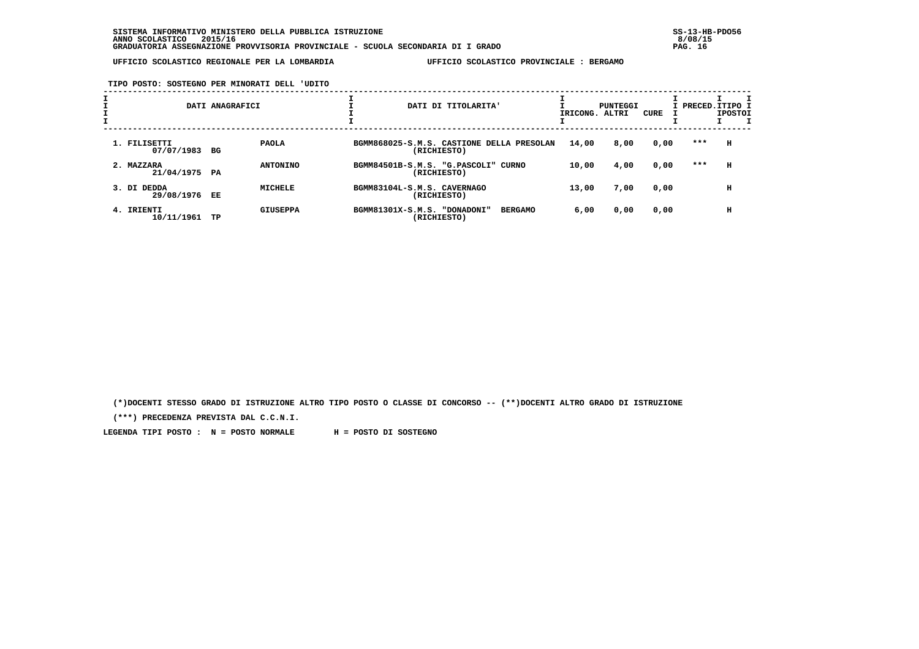**TIPO POSTO: SOSTEGNO PER MINORATI DELL 'UDITO**

|                             | DATI ANAGRAFICI       | DATI DI TITOLARITA'                                           | IRICONG. ALTRI | PUNTEGGI | CURE |     | I PRECED. ITIPO I<br><b>IPOSTOI</b> |
|-----------------------------|-----------------------|---------------------------------------------------------------|----------------|----------|------|-----|-------------------------------------|
| 1. FILISETTI<br>07/07/1983  | <b>PAOLA</b><br>BG    | BGMM868025-S.M.S. CASTIONE DELLA PRESOLAN<br>(RICHIESTO)      | 14,00          | 8,00     | 0,00 | *** | н                                   |
| 2. MAZZARA<br>21/04/1975 PA | <b>ANTONINO</b>       | BGMM84501B-S.M.S. "G.PASCOLI" CURNO<br>(RICHIESTO)            | 10,00          | 4,00     | 0,00 | *** | н                                   |
| 3. DI DEDDA<br>29/08/1976   | <b>MICHELE</b><br>EE  | BGMM83104L-S.M.S. CAVERNAGO<br>(RICHIESTO)                    | 13,00          | 7,00     | 0,00 |     | н                                   |
| 4. IRIENTI<br>10/11/1961    | <b>GIUSEPPA</b><br>TP | BGMM81301X-S.M.S. "DONADONI"<br><b>BERGAMO</b><br>(RICHIESTO) | 6,00           | 0,00     | 0,00 |     | н                                   |

 **(\*)DOCENTI STESSO GRADO DI ISTRUZIONE ALTRO TIPO POSTO O CLASSE DI CONCORSO -- (\*\*)DOCENTI ALTRO GRADO DI ISTRUZIONE**

 **(\*\*\*) PRECEDENZA PREVISTA DAL C.C.N.I.**